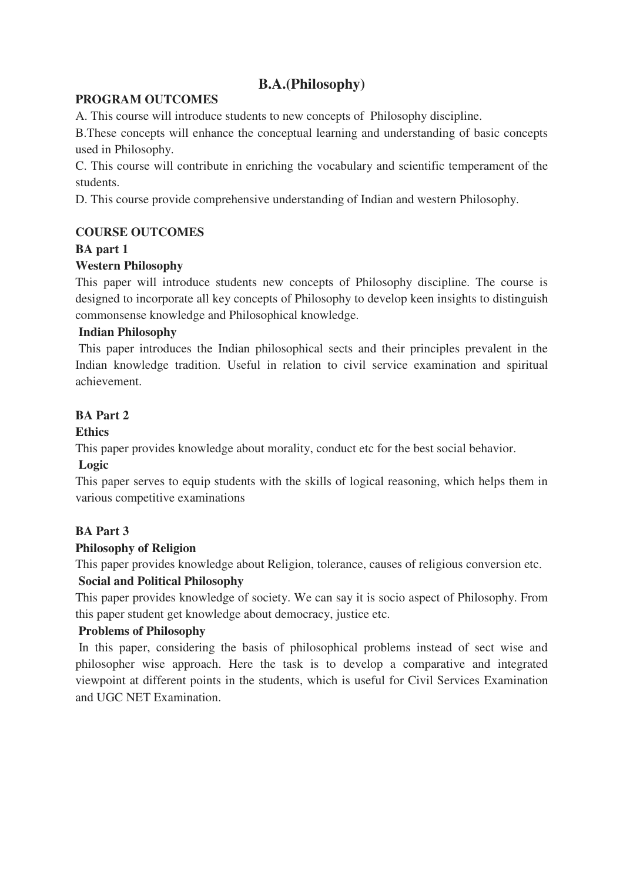# **B.A.(Philosophy)**

## **PROGRAM OUTCOMES**

A. This course will introduce students to new concepts of Philosophy discipline.

B.These concepts will enhance the conceptual learning and understanding of basic concepts used in Philosophy.

C. This course will contribute in enriching the vocabulary and scientific temperament of the students.

D. This course provide comprehensive understanding of Indian and western Philosophy.

## **COURSE OUTCOMES**

# **BA part 1**

## **Western Philosophy**

This paper will introduce students new concepts of Philosophy discipline. The course is designed to incorporate all key concepts of Philosophy to develop keen insights to distinguish commonsense knowledge and Philosophical knowledge.

## **Indian Philosophy**

 This paper introduces the Indian philosophical sects and their principles prevalent in the Indian knowledge tradition. Useful in relation to civil service examination and spiritual achievement.

## **BA Part 2**

## **Ethics**

This paper provides knowledge about morality, conduct etc for the best social behavior.

## **Logic**

This paper serves to equip students with the skills of logical reasoning, which helps them in various competitive examinations

# **BA Part 3**

# **Philosophy of Religion**

This paper provides knowledge about Religion, tolerance, causes of religious conversion etc.

# **Social and Political Philosophy**

This paper provides knowledge of society. We can say it is socio aspect of Philosophy. From this paper student get knowledge about democracy, justice etc.

## **Problems of Philosophy**

 In this paper, considering the basis of philosophical problems instead of sect wise and philosopher wise approach. Here the task is to develop a comparative and integrated viewpoint at different points in the students, which is useful for Civil Services Examination and UGC NET Examination.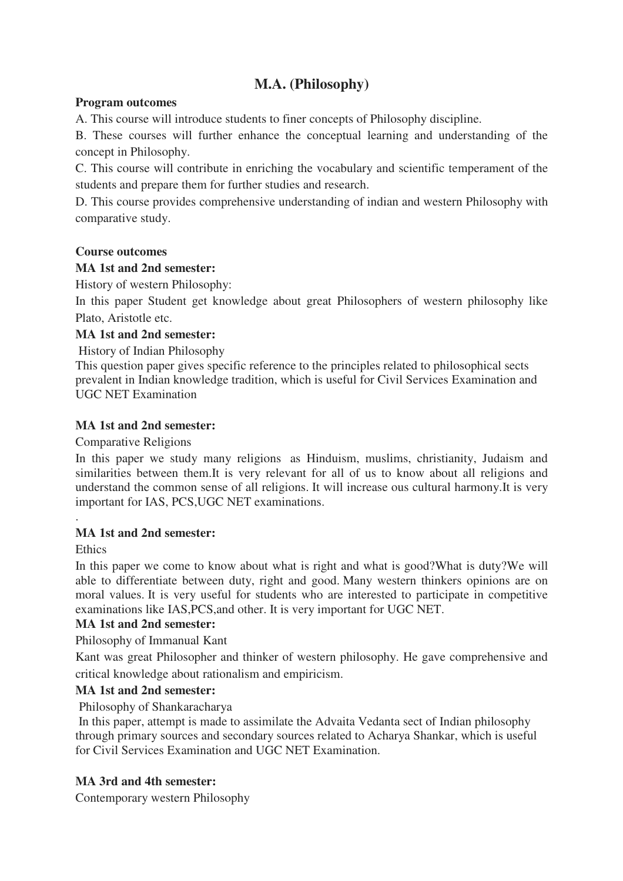# **M.A. (Philosophy)**

## **Program outcomes**

A. This course will introduce students to finer concepts of Philosophy discipline.

B. These courses will further enhance the conceptual learning and understanding of the concept in Philosophy.

C. This course will contribute in enriching the vocabulary and scientific temperament of the students and prepare them for further studies and research.

D. This course provides comprehensive understanding of indian and western Philosophy with comparative study.

## **Course outcomes**

## **MA 1st and 2nd semester:**

History of western Philosophy:

In this paper Student get knowledge about great Philosophers of western philosophy like Plato, Aristotle etc.

## **MA 1st and 2nd semester:**

History of Indian Philosophy

This question paper gives specific reference to the principles related to philosophical sects prevalent in Indian knowledge tradition, which is useful for Civil Services Examination and UGC NET Examination

## **MA 1st and 2nd semester:**

Comparative Religions

In this paper we study many religions as Hinduism, muslims, christianity, Judaism and similarities between them.It is very relevant for all of us to know about all religions and understand the common sense of all religions. It will increase ous cultural harmony.It is very important for IAS, PCS,UGC NET examinations.

## **MA 1st and 2nd semester:**

**Ethics** 

.

In this paper we come to know about what is right and what is good?What is duty?We will able to differentiate between duty, right and good. Many western thinkers opinions are on moral values. It is very useful for students who are interested to participate in competitive examinations like IAS,PCS,and other. It is very important for UGC NET.

# **MA 1st and 2nd semester:**

Philosophy of Immanual Kant

Kant was great Philosopher and thinker of western philosophy. He gave comprehensive and critical knowledge about rationalism and empiricism.

## **MA 1st and 2nd semester:**

Philosophy of Shankaracharya

 In this paper, attempt is made to assimilate the Advaita Vedanta sect of Indian philosophy through primary sources and secondary sources related to Acharya Shankar, which is useful for Civil Services Examination and UGC NET Examination.

# **MA 3rd and 4th semester:**

Contemporary western Philosophy